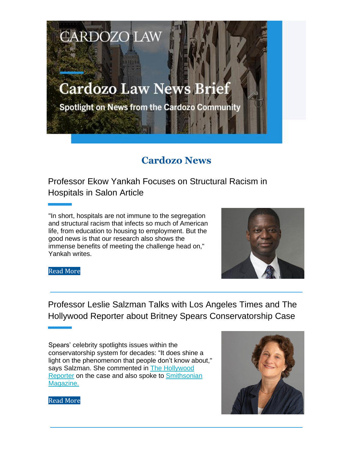## **Cardozo Law News Brief**

**CARDOZO LAW** 

Spotlight on News from the Cardozo Community

## **Cardozo News**

Professor Ekow Yankah Focuses on Structural Racism in Hospitals in Salon Article

"In short, hospitals are not immune to the segregation and structural racism that infects so much of American life, from education to housing to employment. But the good news is that our research also shows the immense benefits of meeting the challenge head on," Yankah writes.



Read More

Professor Leslie Salzman Talks with Los Angeles Times and The Hollywood Reporter about Britney Spears Conservatorship Case

Spears' celebrity spotlights issues within the conservatorship system for decades: "It does shine a light on the phenomenon that people don't know about," says Salzman. She commented in The Hollywood Reporter on the case and also spoke to Smithsonian Magazine.



Read More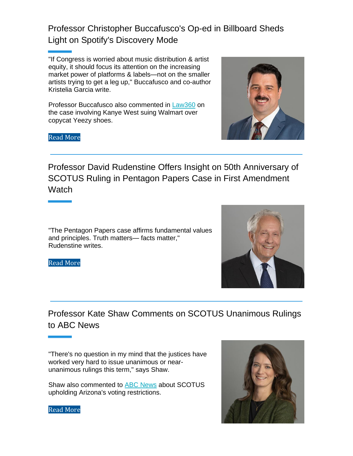Professor Christopher Buccafusco's Op-ed in Billboard Sheds Light on Spotify's Discovery Mode

"If Congress is worried about music distribution & artist equity, it should focus its attention on the increasing market power of platforms & labels—not on the smaller artists trying to get a leg up," Buccafusco and co-author Kristelia Garcia write.

Professor Buccafusco also commented in Law360 on the case involving Kanye West suing Walmart over copycat Yeezy shoes.





Professor David Rudenstine Offers Insight on 50th Anniversary of SCOTUS Ruling in Pentagon Papers Case in First Amendment Watch

"The Pentagon Papers case affirms fundamental values and principles. Truth matters— facts matter," Rudenstine writes.

Read More



"There's no question in my mind that the justices have worked very hard to issue unanimous or nearunanimous rulings this term," says Shaw.

Shaw also commented to ABC News about SCOTUS upholding Arizona's voting restrictions.



Read More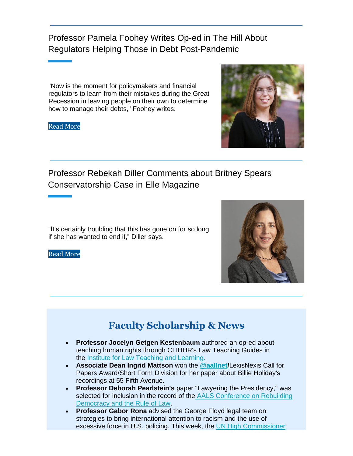Professor Pamela Foohey Writes Op-ed in The Hill About Regulators Helping Those in Debt Post-Pandemic

"Now is the moment for policymakers and financial regulators to learn from their mistakes during the Great Recession in leaving people on their own to determine how to manage their debts," Foohey writes.

Read More



Professor Rebekah Diller Comments about Britney Spears Conservatorship Case in Elle Magazine

"It's certainly troubling that this has gone on for so long if she has wanted to end it," Diller says.

Read More



## **Faculty Scholarship & News**

- **Professor Jocelyn Getgen Kestenbaum** authored an op-ed about teaching human rights through CLIHHR's Law Teaching Guides in the Institute for Law Teaching and Learning.
- **Associate Dean Ingrid Mattson** won the **@aallnet/**LexisNexis Call for Papers Award/Short Form Division for her paper about Billie Holiday's recordings at 55 Fifth Avenue.
- **Professor Deborah Pearlstein's** paper "Lawyering the Presidency," was selected for inclusion in the record of the AALS Conference on Rebuilding Democracy and the Rule of Law.
- **Professor Gabor Rona** advised the George Floyd legal team on strategies to bring international attention to racism and the use of excessive force in U.S. policing. This week, the UN High Commissioner